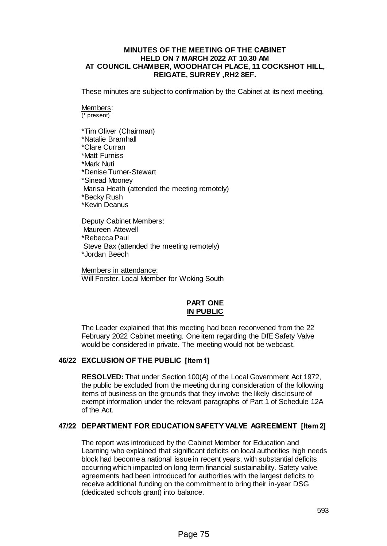#### **MINUTES OF THE MEETING OF THE CABINET HELD ON 7 MARCH 2022 AT 10.30 AM AT COUNCIL CHAMBER, WOODHATCH PLACE, 11 COCKSHOT HILL, REIGATE, SURREY ,RH2 8EF.**

These minutes are subject to confirmation by the Cabinet at its next meeting.

# Members:

(\* present)

\*Tim Oliver (Chairman) \*Natalie Bramhall \*Clare Curran \*Matt Furniss \*Mark Nuti \*Denise Turner-Stewart \*Sinead Mooney Marisa Heath (attended the meeting remotely) \*Becky Rush \*Kevin Deanus

Deputy Cabinet Members: Maureen Attewell \*Rebecca Paul Steve Bax (attended the meeting remotely) \*Jordan Beech

Members in attendance: Will Forster, Local Member for Woking South

## **PART ONE IN PUBLIC**

The Leader explained that this meeting had been reconvened from the 22 February 2022 Cabinet meeting. One item regarding the DfE Safety Valve would be considered in private. The meeting would not be webcast.

### **46/22 EXCLUSION OF THE PUBLIC [Item 1]**

**RESOLVED:** That under Section 100(A) of the Local Government Act 1972, the public be excluded from the meeting during consideration of the following items of business on the grounds that they involve the likely disclosure of exempt information under the relevant paragraphs of Part 1 of Schedule 12A of the Act.

### **47/22 DEPARTMENT FOR EDUCATION SAFETY VALVE AGREEMENT [Item 2]**

The report was introduced by the Cabinet Member for Education and Learning who explained that significant deficits on local authorities high needs block had become a national issue in recent years, with substantial deficits occurring which impacted on long term financial sustainability. Safety valve agreements had been introduced for authorities with the largest deficits to receive additional funding on the commitment to bring their in-year DSG (dedicated schools grant) into balance.